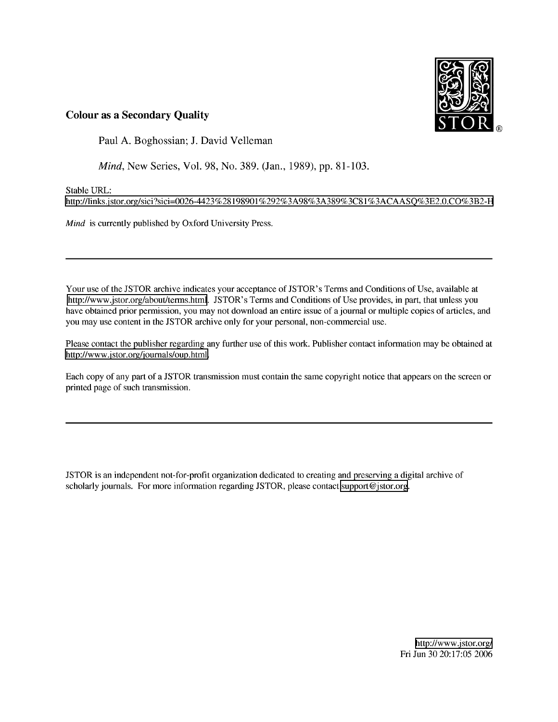

# **Colour as a Secondary Quality**

Paul A. Boghossian; J. David Velleman

*Mind,* New Series, Vol. 98, No. 389. (Jan., 1989), pp. 81-103.

Stable URL:

[http://links.jstor.org/sici?sici=0026-4423%28198901%292%3A98%3A389%3C81%3ACAASQ%3E2.0.CO%3B2-H](http://links.jstor.org/sici?sici=0026-4423%2528198901%25292%253A98%253A389%253C81%253ACAASQ%253E2.0.CO%253B2-H)

*Mind* is currently published by Oxford University Press.

Your use of the JSTOR archive indicates your acceptance of JSTOR's Terms and Conditions of Use, available at <http://www.jstor.org/about/terms.html>. JSTOR's Terms and Conditions of Use provides, in part, that unless you have obtained prior permission, you may not download an entire issue of a journal or multiple copies of articles, and you may use content in the JSTOR archive only for your personal, non-commercial use.

Please contact the publisher regarding any further use of this work. Publisher contact information may be obtained at [http://www.jstor.org/jou](http://www.jstor.org/joumals/oup.html)rnals/oup.html.

Each copy of any part of a JSTOR transmission must contain the same copyright notice that appears on the screen or printed page of such transmission.

JSTOR is an independent not-for-profit organization dedicated to creating and preserving a digital archive of scholarly journals. For more information regarding JSTOR, please contact [support@jstor.org](mailto:support%40jstor.org).

> [http://www.j](http://www.jstor.org/)stor.org/ Fri Jun 30 20:17:05 2006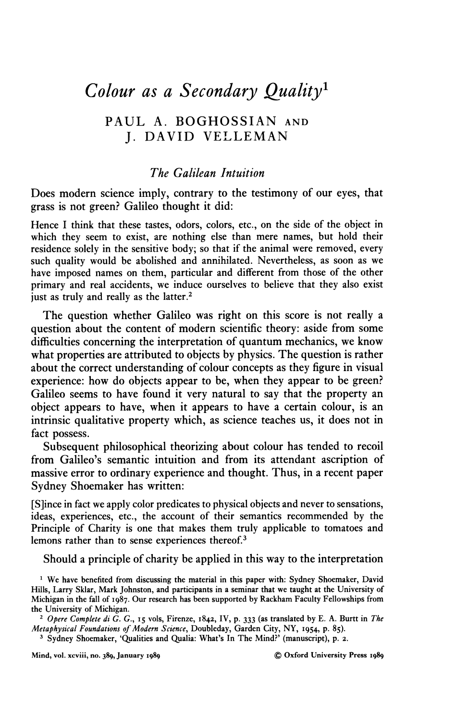# *Colour as a Secondary Quality<sup>1</sup>*

# PAUL A. BOGHOSSIAN and J. DAVID VELLEMAN

# *The Galilean Intuition*

Does modern science imply, contrary to the testimony of our eyes, that grass is not green? Galileo thought it did:

Hence I think that these tastes, odors, colors, etc., on the side of the object in which they seem to exist, are nothing else than mere names, but hold their residence solely in the sensitive body; so that if the animal were removed, every such quality would be abolished and annihilated. Nevertheless, as soon as we have imposed names on them, particular and different from those of the other primary and real accidents, we induce ourselves to believe that they also exist just as truly and really as the latter.<sup>2</sup>

The question whether Galileo was right on this score is not really a question about the content of modern scientific theory: aside from some difficulties concerning the interpretation of quantum mechanics, we know what properties are attributed to objects by physics. The question is rather about the correct understanding of colour concepts as they figure in visual experience: how do objects appear to be, when they appear to be green? Galileo seems to have found it very natural to say that the property an object appears to have, when it appears to have a certain colour, is an intrinsic qualitative property which, as science teaches us, it does not in fact possess.

Subsequent philosophical theorizing about colour has tended to recoil from Galileo's semantic intuition and from its attendant ascription of massive error to ordinary experience and thought. Thus, in a recent paper Sydney Shoemaker has written:

[S]ince in fact we apply color predicates to physical objects and never to sensations, ideas, experiences, etc., the account of their semantics recommended by the Principle of Charity is one that makes them truly applicable to tomatoes and lemons rather than to sense experiences thereof.<sup>3</sup>

Should a principle of charity be applied in this way to the interpretation

<sup>1</sup> We have benefited from discussing the material in this paper with: Sydney Shoemaker, David Hills, Larry Sklar, Mark Johnston, and participants in a seminar that we taught at the University of Michigan in the fall of 1987. Our research has been supported by Rackham Faculty Fellowships from the University of Michigan.

*<sup>2</sup> Opere Complete di G. G.,* 15 vols, Firenze, 1842, IV, p. 333 (as translated by E. A. Burtt in *The Metaphysical Foundations ofModern Science,* Doubleday, Garden City, NY, 1954, p. 85).

<sup>3</sup> Sydney Shoemaker, 'Qualities and Qualia: What's In The Mind?' (manuscript), p. 2.

**Mind, vol. xcviii, no. 389, January 1989 © Oxford University Press 1989**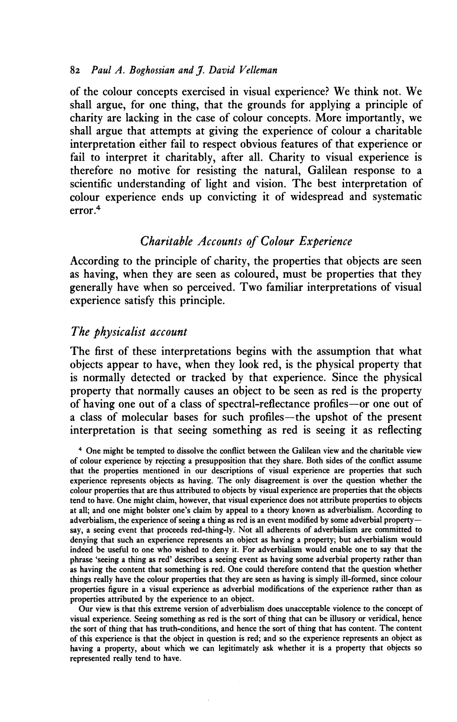of the colour concepts exercised in visual experience? We think not. We shall argue, for one thing, that the grounds for applying a principle of charity are lacking in the case of colour concepts. More importantly, we shall argue that attempts at giving the experience of colour a charitable interpretation either fail to respect obvious features of that experience or fail to interpret it charitably, after all. Charity to visual experience is therefore no motive for resisting the natural, Galilean response to a scientific understanding of light and vision. The best interpretation of colour experience ends up convicting it of widespread and systematic error<sup>4</sup>

# *Charitable Accounts of Colour Experience*

According to the principle of charity, the properties that objects are seen as having, when they are seen as coloured, must be properties that they generally have when so perceived. Two familiar interpretations of visual experience satisfy this principle.

# *The physicalist account*

The first of these interpretations begins with the assumption that what objects appear to have, when they look red, is the physical property that is normally detected or tracked by that experience. Since the physical property that normally causes an object to be seen as red is the property of having one out of a class of spectral-reflectance profiles—or one out of a class of molecular bases for such profiles—the upshot of the present interpretation is that seeing something as red is seeing it as reflecting

4 One might be tempted to dissolve the conflict between the Galilean view and the charitable view of colour experience by rejecting a presupposition that they share. Both sides of the conflict assume that the properties mentioned in our descriptions of visual experience are properties that such experience represents objects as having. The only disagreement is over the question whether the colour properties that are thus attributed to objects by visual experience are properties that the objects tend to have. One might claim, however, that visual experience does not attribute properties to objects at all; and one might bolster one's claim by appeal to a theory known as adverbialism. According to adverbialism, the experience of seeing a thing as red is an event modified by some adverbial property say, a seeing event that proceeds red-thing-ly. Not all adherents of adverbialism are committed to denying that such an experience represents an object as having a property; but adverbialism would indeed be useful to one who wished to deny it. For adverbialism would enable one to say that the phrase 'seeing a thing as red' describes a seeing event as having some adverbial property rather than as having the content that something is red. One could therefore contend that the question whether things really have the colour properties that they are seen as having is simply ill-formed, since colour properties figure in a visual experience as adverbial modifications of the experience rather than as properties attributed by the experience to an object.

Our view is that this extreme version of adverbialism does unacceptable violence to the concept of visual experience. Seeing something as red is the sort of thing that can be illusory or veridical, hence the sort of thing that has truth-conditions, and hence the sort of thing that has content. The content of this experience is that the object in question is red; and so the experience represents an object as having a property, about which we can legitimately ask whether it is a property that objects so represented really tend to have.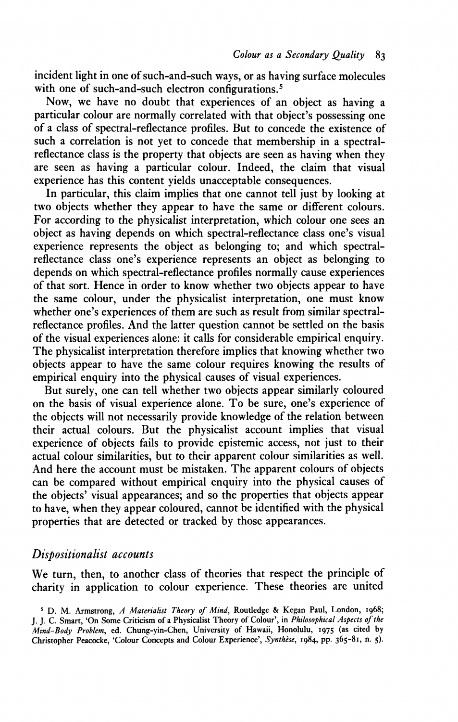incident light in one of such-and-such ways, or as having surface molecules with one of such-and-such electron configurations.<sup>5</sup>

Now, we have no doubt that experiences of an object as having a particular colour are normally correlated with that object's possessing one of a class of spectral-reflectance profiles. But to concede the existence of such a correlation is not yet to concede that membership in a spectralreflectance class is the property that objects are seen as having when they are seen as having a particular colour. Indeed, the claim that visual experience has this content yields unacceptable consequences.

In particular, this claim implies that one cannot tell just by looking at two objects whether they appear to have the same or different colours. For according to the physicalist interpretation, which colour one sees an object as having depends on which spectral-reflectance class one's visual experience represents the object as belonging to; and which spectralreflectance class one's experience represents an object as belonging to depends on which spectral-reflectance profiles normally cause experiences of that sort. Hence in order to know whether two objects appear to have the same colour, under the physicalist interpretation, one must know whether one's experiences of them are such as result from similar spectralreflectance profiles. And the latter question cannot be settled on the basis of the visual experiences alone: it calls for considerable empirical enquiry. The physicalist interpretation therefore implies that knowing whether two objects appear to have the same colour requires knowing the results of empirical enquiry into the physical causes of visual experiences.

But surely, one can tell whether two objects appear similarly coloured on the basis of visual experience alone. To be sure, one's experience of the objects will not necessarily provide knowledge of the relation between their actual colours. But the physicalist account implies that visual experience of objects fails to provide epistemic access, not just to their actual colour similarities, but to their apparent colour similarities as well. And here the account must be mistaken. The apparent colours of objects can be compared without empirical enquiry into the physical causes of the objects' visual appearances; and so the properties that objects appear to have, when they appear coloured, cannot be identified with the physical properties that are detected or tracked by those appearances.

# *Dispositionalist accounts*

We turn, then, to another class of theories that respect the principle of charity in application to colour experience. These theories are united

<sup>5</sup> D. M. Armstrong, *A Materialist Theory of Mind,* Routledge & Kegan Paul, London, 1968; J. J. C. Smart, 'On Some Criticism of a Physicalist Theory of Colour', in *Philosophical Aspects ofthe Mind-Body Problem,* ed. Chung-yin-Chen, University of Hawaii, Honolulu, 1975 (as cited by Christopher Peacocke, 'Colour Concepts and Colour Experience', *Synthèse,* 1984, pp. 365-81, n. 5).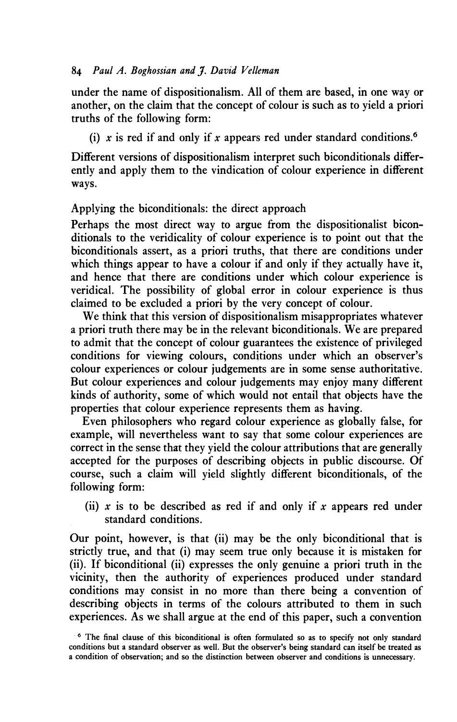under the name of dispositionalism. All of them are based, in one way or another, on the claim that the concept of colour is such as to yield a priori truths of the following form:

(i)  $x$  is red if and only if  $x$  appears red under standard conditions.<sup>6</sup>

Different versions of dispositionalism interpret such biconditionals differently and apply them to the vindication of colour experience in different ways.

# Applying the biconditionals: the direct approach

Perhaps the most direct way to argue from the dispositionalist biconditionals to the veridicality of colour experience is to point out that the biconditionals assert, as a priori truths, that there are conditions under which things appear to have a colour if and only if they actually have it, and hence that there are conditions under which colour experience is veridical. The possibility of global error in colour experience is thus claimed to be excluded a priori by the very concept of colour.

We think that this version of dispositionalism misappropriates whatever a priori truth there may be in the relevant biconditionals. We are prepared to admit that the concept of colour guarantees the existence of privileged conditions for viewing colours, conditions under which an observer's colour experiences or colour judgements are in some sense authoritative. But colour experiences and colour judgements may enjoy many different kinds of authority, some of which would not entail that objects have the properties that colour experience represents them as having.

Even philosophers who regard colour experience as globally false, for example, will nevertheless want to say that some colour experiences are correct in the sense that they yield the colour attributions that are generally accepted for the purposes of describing objects in public discourse. Of course, such a claim will yield slightly different biconditionals, of the following form:

(ii)  $x$  is to be described as red if and only if  $x$  appears red under standard conditions.

Our point, however, is that (ii) may be the only biconditional that is strictly true, and that (i) may seem true only because it is mistaken for (ii). If biconditional (ii) expresses the only genuine a priori truth in the vicinity, then the authority of experiences produced under standard conditions may consist in no more than there being a convention of describing objects in terms of the colours attributed to them in such experiences. As we shall argue at the end of this paper, such a convention

<sup>6</sup> The final clause of this biconditional is often formulated so as to specify not only standard conditions but a standard observer as well. But the observer's being standard can itself be treated as a condition of observation; and so the distinction between observer and conditions is unnecessary.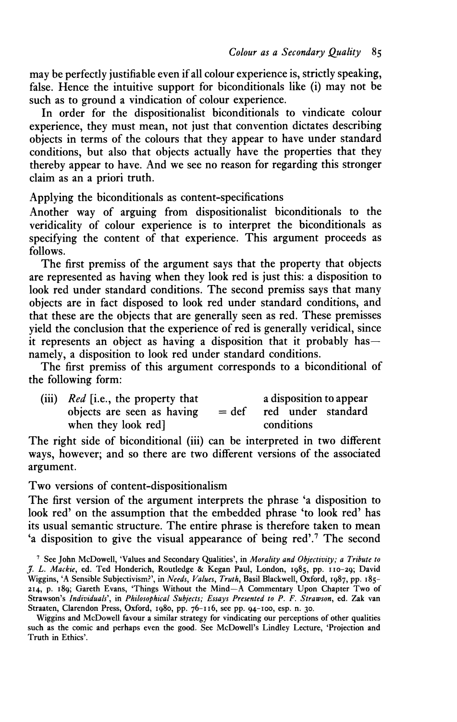may be perfectly justifiable even if all colour experience is, strictly speaking, false. Hence the intuitive support for biconditionals like (i) may not be such as to ground a vindication of colour experience.

In order for the dispositionalist biconditionals to vindicate colour experience, they must mean, not just that convention dictates describing objects in terms of the colours that they appear to have under standard conditions, but also that objects actually have the properties that they thereby appear to have. And we see no reason for regarding this stronger claim as an a priori truth.

Applying the biconditionals as content-specifications

Another way of arguing from dispositionalist biconditionals to the veridicality of colour experience is to interpret the biconditionals as specifying the content of that experience. This argument proceeds as follows.

The first premiss of the argument says that the property that objects are represented as having when they look red is just this: a disposition to look red under standard conditions. The second premiss says that many objects are in fact disposed to look red under standard conditions, and that these are the objects that are generally seen as red. These premisses yield the conclusion that the experience of red is generally veridical, since it represents an object as having a disposition that it probably has namely, a disposition to look red under standard conditions.

The first premiss of this argument corresponds to a biconditional of the following form:

| (iii) <i>Red</i> [i.e., the property that |         | a disposition to appear |  |                    |
|-------------------------------------------|---------|-------------------------|--|--------------------|
| objects are seen as having                | $=$ def |                         |  | red under standard |
| when they look red]                       |         | conditions              |  |                    |

The right side of biconditional (iii) can be interpreted in two different ways, however; and so there are two different versions of the associated argument.

#### Two versions of content-dispositionalism

The first version of the argument interprets the phrase 'a disposition to look red' on the assumption that the embedded phrase 'to look red' has its usual semantic structure. The entire phrase is therefore taken to mean 'a disposition to give the visual appearance of being red'.<sup>7</sup> The second

Wiggins and McDowell favour a similar strategy for vindicating our perceptions of other qualities such as the comic and perhaps even the good. See McDowell's Lindley Lecture, 'Projection and Truth in Ethics'.

<sup>7</sup> See John McDowell, 'Values and Secondary Qualities', in *Morality and Objectivity; a Tribute to J. L. Mackie,* ed. Ted Honderich, Routledge & Kegan Paul, London, 1985, pp. 110-29; David Wiggins, 'A Sensible Subjectivism?', in *Needs, Values, Truth,* Basil Blackwell, Oxford, 1987, pp. 185— 214, p. 189; Gareth Evans, 'Things Without the Mind—A Commentary Upon Chapter Two of Strawson's *Individuals',* in *Philosophical Subjects; Essays Presented to P. F. Strawson,* ed. Zak van Straaten, Clarendon Press, Oxford, 1980, pp. 76-116, see pp. 94-100, esp. n. 30.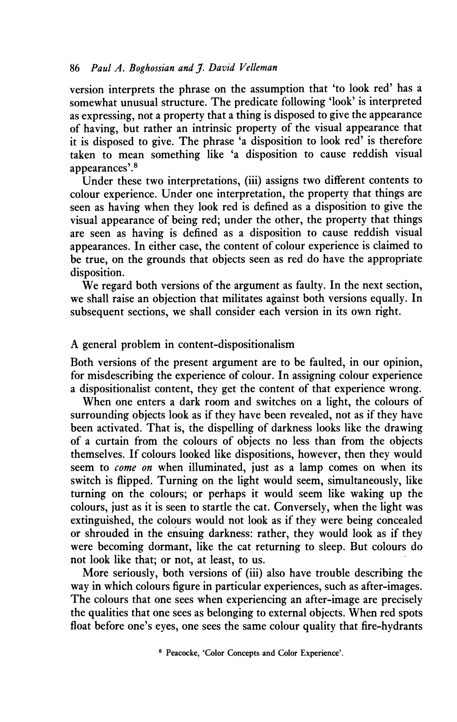version interprets the phrase on the assumption that 'to look red' has a somewhat unusual structure. The predicate following 'look' is interpreted as expressing, not a property that a thing is disposed to give the appearance of having, but rather an intrinsic property of the visual appearance that it is disposed to give. The phrase 'a disposition to look red' is therefore taken to mean something like 'a disposition to cause reddish visual appearances'.<sup>8</sup>

Under these two interpretations, (iii) assigns two different contents to colour experience. Under one interpretation, the property that things are seen as having when they look red is defined as a disposition to give the visual appearance of being red; under the other, the property that things are seen as having is defined as a disposition to cause reddish visual appearances. In either case, the content of colour experience is claimed to be true, on the grounds that objects seen as red do have the appropriate disposition.

We regard both versions of the argument as faulty. In the next section, we shall raise an objection that militates against both versions equally. In subsequent sections, we shall consider each version in its own right.

#### A general problem in content-dispositionalism

Both versions of the present argument are to be faulted, in our opinion, for misdescribing the experience of colour. In assigning colour experience a dispositionalist content, they get the content of that experience wrong.

When one enters a dark room and switches on a light, the colours of surrounding objects look as if they have been revealed, not as if they have been activated. That is, the dispelling of darkness looks like the drawing of a curtain from the colours of objects no less than from the objects themselves. If colours looked like dispositions, however, then they would seem to *come on* when illuminated, just as a lamp comes on when its switch is flipped. Turning on the light would seem, simultaneously, like turning on the colours; or perhaps it would seem like waking up the colours, just as it is seen to startle the cat. Conversely, when the light was extinguished, the colours would not look as if they were being concealed or shrouded in the ensuing darkness: rather, they would look as if they were becoming dormant, like the cat returning to sleep. But colours do not look like that; or not, at least, to us.

More seriously, both versions of (iii) also have trouble describing the way in which colours figure in particular experiences, such as after-images. The colours that one sees when experiencing an after-image are precisely the qualities that one sees as belonging to external objects. When red spots float before one's eyes, one sees the same colour quality that fire-hydrants

<sup>8</sup> Peacocke, 'Color Concepts and Color Experience'.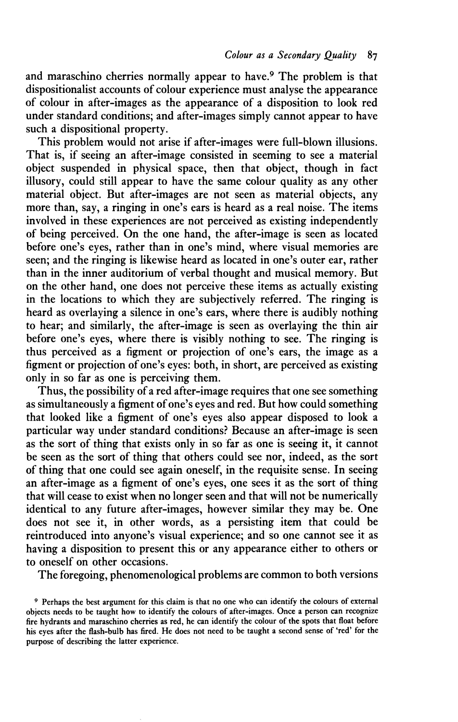and maraschino cherries normally appear to have.<sup>9</sup> The problem is that dispositionalist accounts of colour experience must analyse the appearance of colour in after-images as the appearance of a disposition to look red under standard conditions; and after-images simply cannot appear to have such a dispositional property.

This problem would not arise if after-images were full-blown illusions. That is, if seeing an after-image consisted in seeming to see a material object suspended in physical space, then that object, though in fact illusory, could still appear to have the same colour quality as any other material object. But after-images are not seen as material objects, any more than, say, a ringing in one's ears is heard as a real noise. The items involved in these experiences are not perceived as existing independently of being perceived. On the one hand, the after-image is seen as located before one's eyes, rather than in one's mind, where visual memories are seen; and the ringing is likewise heard as located in one's outer ear, rather than in the inner auditorium of verbal thought and musical memory. But on the other hand, one does not perceive these items as actually existing in the locations to which they are subjectively referred. The ringing is heard as overlaying a silence in one's ears, where there is audibly nothing to hear; and similarly, the after-image is seen as overlaying the thin air before one's eyes, where there is visibly nothing to see. The ringing is thus perceived as a figment or projection of one's ears, the image as a figment or projection of one's eyes: both, in short, are perceived as existing only in so far as one is perceiving them.

Thus, the possibility of a red after-image requires that one see something as simultaneously a figment of one's eyes and red. But how could something that looked like a figment of one's eyes also appear disposed to look a particular way under standard conditions? Because an after-image is seen as the sort of thing that exists only in so far as one is seeing it, it cannot be seen as the sort of thing that others could see nor, indeed, as the sort of thing that one could see again oneself, in the requisite sense. In seeing an after-image as a figment of one's eyes, one sees it as the sort of thing that will cease to exist when no longer seen and that will not be numerically identical to any future after-images, however similar they may be. One does not see it, in other words, as a persisting item that could be reintroduced into anyone's visual experience; and so one cannot see it as having a disposition to present this or any appearance either to others or to oneself on other occasions.

The foregoing, phenomenological problems are common to both versions

<sup>9</sup> Perhaps the best argument for this claim is that no one who can identify the colours of external objects needs to be taught how to identify the colours of after-images. Once a person can recognize fire hydrants and maraschino cherries as red, he can identify the colour of the spots that float before his eyes after the flash-bulb has fired. He does not need to be taught a second sense of 'red' for the purpose of describing the latter experience.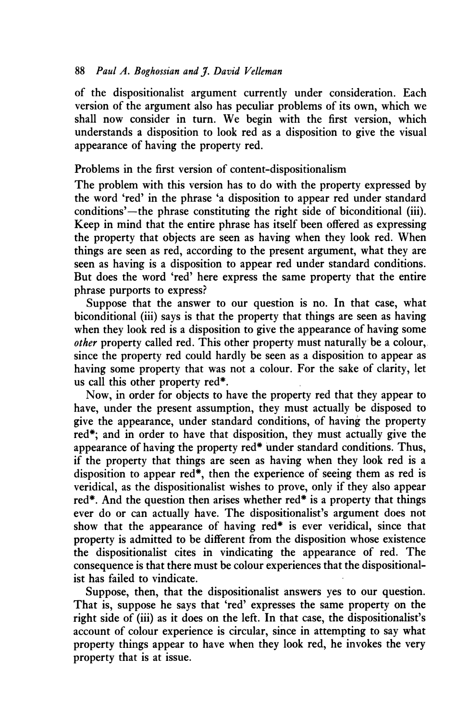of the dispositionalist argument currently under consideration. Each version of the argument also has peculiar problems of its own, which we shall now consider in turn. We begin with the first version, which understands a disposition to look red as a disposition to give the visual appearance of having the property red.

## Problems in the first version of content-dispositionalism

The problem with this version has to do with the property expressed by the word 'red' in the phrase 'a disposition to appear red under standard conditions'—the phrase constituting the right side of biconditional (iii). Keep in mind that the entire phrase has itself been offered as expressing the property that objects are seen as having when they look red. When things are seen as red, according to the present argument, what they are seen as having is a disposition to appear red under standard conditions. But does the word 'red' here express the same property that the entire phrase purports to express?

Suppose that the answer to our question is no. In that case, what biconditional (iii) says is that the property that things are seen as having when they look red is a disposition to give the appearance of having some *other* property called red. This other property must naturally be a colour, since the property red could hardly be seen as a disposition to appear as having some property that was not a colour. For the sake of clarity, let us call this other property red\*.

Now, in order for objects to have the property red that they appear to have, under the present assumption, they must actually be disposed to give the appearance, under standard conditions, of having the property red\*; and in order to have that disposition, they must actually give the appearance of having the property red\* under standard conditions. Thus, if the property that things are seen as having when they look red is a disposition to appear red\*, then the experience of seeing them as red is veridical, as the dispositionalist wishes to prove, only if they also appear red\*. And the question then arises whether red\* is a property that things ever do or can actually have. The dispositionalist's argument does not show that the appearance of having red\* is ever veridical, since that property is admitted to be different from the disposition whose existence the dispositionalist cites in vindicating the appearance of red. The consequence is that there must be colour experiences that the dispositionalist has failed to vindicate.

Suppose, then, that the dispositionalist answers yes to our question. That is, suppose he says that 'red' expresses the same property on the right side of (iii) as it does on the left. In that case, the dispositionalist's account of colour experience is circular, since in attempting to say what property things appear to have when they look red, he invokes the very property that is at issue.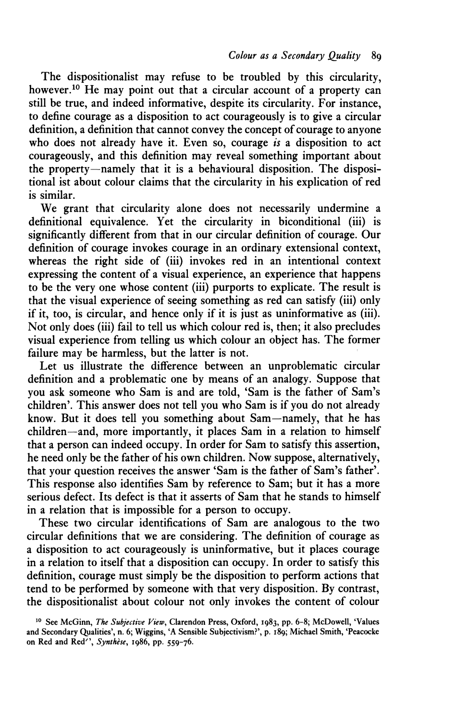The dispositionalist may refuse to be troubled by this circularity, however.<sup>10</sup> He may point out that a circular account of a property can still be true, and indeed informative, despite its circularity. For instance, to define courage as a disposition to act courageously is to give a circular definition, a definition that cannot convey the concept of courage to anyone who does not already have it. Even so, courage *is* a disposition to act courageously, and this definition may reveal something important about the property—namely that it is a behavioural disposition. The dispositional ist about colour claims that the circularity in his explication of red is similar.

We grant that circularity alone does not necessarily undermine a definitional equivalence. Yet the circularity in biconditional (iii) is significantly different from that in our circular definition of courage. Our definition of courage invokes courage in an ordinary extensional context, whereas the right side of (iii) invokes red in an intentional context expressing the content of a visual experience, an experience that happens to be the very one whose content (iii) purports to explicate. The result is that the visual experience of seeing something as red can satisfy (iii) only if it, too, is circular, and hence only if it is just as uninformative as (iii). Not only does (iii) fail to tell us which colour red is, then; it also precludes visual experience from telling us which colour an object has. The former failure may be harmless, but the latter is not.

Let us illustrate the difference between an unproblematic circular definition and a problematic one by means of an analogy. Suppose that you ask someone who Sam is and are told, 'Sam is the father of Sam's children'. This answer does not tell you who Sam is if you do not already know. But it does tell you something about Sam—namely, that he has children—and, more importantly, it places Sam in a relation to himself that a person can indeed occupy. In order for Sam to satisfy this assertion, he need only be the father of his own children. Now suppose, alternatively, that your question receives the answer 'Sam is the father of Sam's father'. This response also identifies Sam by reference to Sam; but it has a more serious defect. Its defect is that it asserts of Sam that he stands to himself in a relation that is impossible for a person to occupy.

These two circular identifications of Sam are analogous to the two circular definitions that we are considering. The definition of courage as a disposition to act courageously is uninformative, but it places courage in a relation to itself that a disposition can occupy. In order to satisfy this definition, courage must simply be the disposition to perform actions that tend to be performed by someone with that very disposition. By contrast, the dispositionalist about colour not only invokes the content of colour

<sup>10</sup> See McGinn, *The Subjective View,* Clarendon Press, Oxford, 1983, pp. 6-8; McDowell, 'Values and Secondary Qualities', n. 6; Wiggins, 'A Sensible Subjectivism?', p. 189; Michael Smith, 'Peacocke on Red and Red ', *Synthèse,* 1986, pp. 559-76.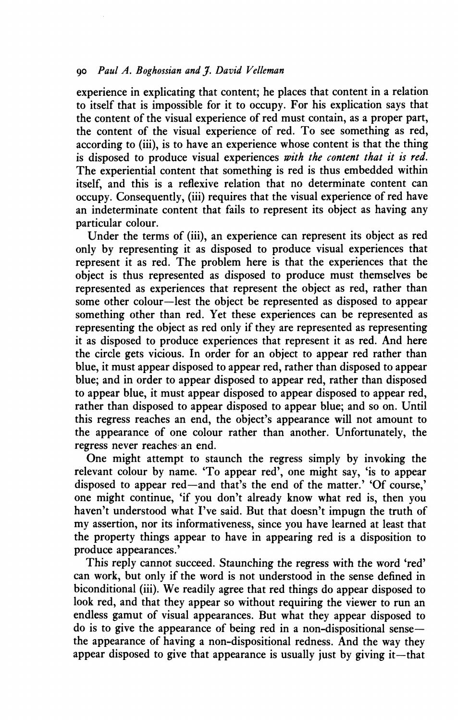experience in explicating that content; he places that content in a relation to itself that is impossible for it to occupy. For his explication says that the content of the visual experience of red must contain, as a proper part, the content of the visual experience of red. To see something as red, according to (iii), is to have an experience whose content is that the thing is disposed to produce visual experiences *with the content that it is red.* The experiential content that something is red is thus embedded within itself, and this is a reflexive relation that no determinate content can occupy. Consequently, (iii) requires that the visual experience of red have an indeterminate content that fails to represent its object as having any particular colour.

Under the terms of (iii), an experience can represent its object as red only by representing it as disposed to produce visual experiences that represent it as red. The problem here is that the experiences that the object is thus represented as disposed to produce must themselves be represented as experiences that represent the object as red, rather than some other colour—lest the object be represented as disposed to appear something other than red. Yet these experiences can be represented as representing the object as red only if they are represented as representing it as disposed to produce experiences that represent it as red. And here the circle gets vicious. In order for an object to appear red rather than blue, it must appear disposed to appear red, rather than disposed to appear blue; and in order to appear disposed to appear red, rather than disposed to appear blue, it must appear disposed to appear disposed to appear red, rather than disposed to appear disposed to appear blue; and so on. Until this regress reaches an end, the object's appearance will not amount to the appearance of one colour rather than another. Unfortunately, the regress never reaches an end.

One might attempt to staunch the regress simply by invoking the relevant colour by name. 'To appear red', one might say, 'is to appear disposed to appear red—and that's the end of the matter.' 'Of course,' one might continue, 'if you don't already know what red is, then you haven't understood what I've said. But that doesn't impugn the truth of my assertion, nor its informativeness, since you have learned at least that the property things appear to have in appearing red is a disposition to produce appearances.'

This reply cannot succeed. Staunching the regress with the word 'red' can work, but only if the word is not understood in the sense defined in biconditional (iii). We readily agree that red things do appear disposed to look red, and that they appear so without requiring the viewer to run an endless gamut of visual appearances. But what they appear disposed to do is to give the appearance of being red in a non-dispositional sense the appearance of having a non-dispositional redness. And the way they appear disposed to give that appearance is usually just by giving it—that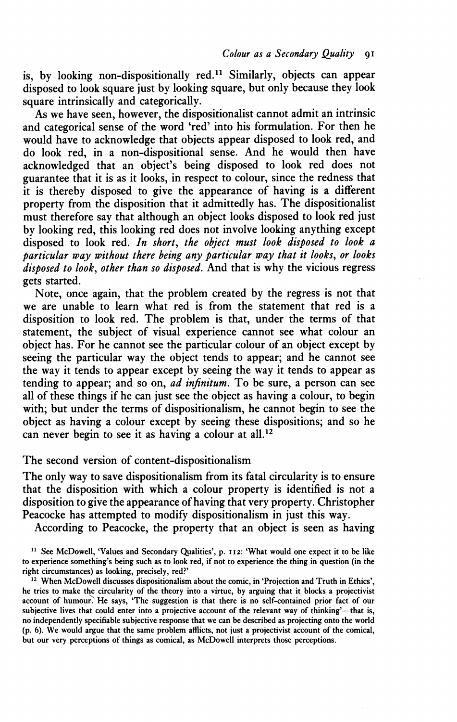is, by looking non-dispositionally  $\text{red}$ ,  $^{11}$  Similarly, objects can appear disposed to look square just by looking square, but only because they look square intrinsically and categorically.

As we have seen, however, the dispositionalist cannot admit an intrinsic and categorical sense of the word 'red' into his formulation. For then he would have to acknowledge that objects appear disposed to look red, and do look red, in a non-dispositional sense. And he would then have acknowledged that an object's being disposed to look red does not guarantee that it is as it looks, in respect to colour, since the redness that it is thereby disposed to give the appearance of having is a different property from the disposition that it admittedly has. The dispositionalist must therefore say that although an object looks disposed to look red just by looking red, this looking red does not involve looking anything except disposed to look red. *In short, the object must look disposed to look a particular way without there being any particular way that it looks, or looks disposed to look, other than so disposed.* And that is why the vicious regress gets started.

Note, once again, that the problem created by the regress is not that we are unable to learn what red is from the statement that red is a disposition to look red. The problem is that, under the terms of that statement, the subject of visual experience cannot see what colour an object has. For he cannot see the particular colour of an object except by seeing the particular way the object tends to appear; and he cannot see the way it tends to appear except by seeing the way it tends to appear as tending to appear; and so on, *ad infinitum.* To be sure, a person can see all of these things if he can just see the object as having a colour, to begin with; but under the terms of dispositionalism, he cannot begin to see the object as having a colour except by seeing these dispositions; and so he can never begin to see it as having a colour at all.<sup>12</sup>

#### The second version of content-dispositionalism

The only way to save dispositionalism from its fatal circularity is to ensure that the disposition with which a colour property is identified is not a disposition to give the appearance ofhaving that very property. Christopher Peacocke has attempted to modify dispositionalism in just this way.

According to Peacocke, the property that an object is seen as having

<sup>11</sup> See McDowell, 'Values and Secondary Qualities', p. 112: 'What would one expect it to be like to experience something's being such as to look red, if not to experience the thing in question (in the right circumstances) as looking, precisely, red?'

 $12$  When McDowell discusses dispositionalism about the comic, in 'Projection and Truth in Ethics', he tries to make the circularity of the theory into a virtue, by arguing that it blocks a projectivist account of humour. He says, 'The suggestion is that there is no self-contained prior fact of our subjective lives that could enter into a projective account of the relevant way of thinking'—that is, no independently specifiable subjective response that we can be described as projecting onto the world (p. 6). We would argue that the same problem afflicts, not just a projectivist account of the comical, but our very perceptions of things as comical, as McDowell interprets those perceptions.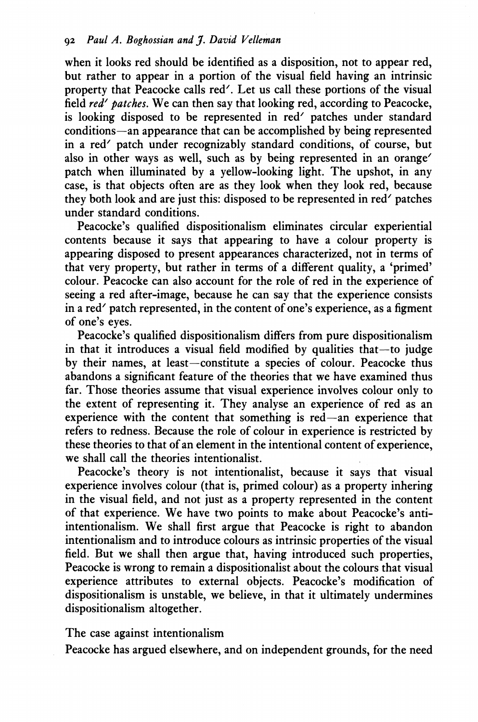when it looks red should be identified as a disposition, not to appear red, but rather to appear in a portion of the visual field having an intrinsic property that Peacocke calls red'. Let us call these portions of the visual field *red'* patches. We can then say that looking red, according to Peacocke, is looking disposed to be represented in red<sup>7</sup> patches under standard conditions—an appearance that can be accomplished by being represented in a red' patch under recognizably standard conditions, of course, but also in other ways as well, such as by being represented in an orange' patch when illuminated by a yellow-looking light. The upshot, in any patent when mummated by a yenow-looking light. The upshot, in any case, is that objects often are as they look when they look red, because they both look and are just this: disposed to be represented in red' patches under standard conditions. is looking disposed to be repres case, is that objects often are as they  $\mu$ 

Peacocke's qualified dispositionalism eliminates circular experiential contents because it says that appearing to have a colour property is appearing disposed to present appearances characterized, not in terms of that very property, but rather in terms of a different quality, a 'primed' colour. Peacocke can also account for the role of red in the experience of seeing a red after-image, because he can say that the experience consists in a red<sup>7</sup> patch represented, in the content of one's experience, as a figment of one's eyes. appearing disposed to present appearance colour. Peacocke can also account for

Peacocke's qualified dispositionalism differs from pure dispositionalism in that it introduces a visual field modified by qualities that—to judge by their names, at least-constitute a species of colour. Peacocke thus abandons a significant feature of the theories that we have examined thus far. Those theories assume that visual experience involves colour only to the extent of representing it. They analyse an experience of red as an experience with the content that something is red—an experience that refers to redness. Because the role of colour in experience is restricted by these theories to that of an element in the intentional content of experience, we shall call the theories intentionalist. in that it introduces a visual field  $\frac{1}{2}$ s and  $\frac{1}{2}$  mose theories assume that  $\frac{1}{2}$ we shall call the theories intentionalist

Peacocke's theory is not intentionalist, because it says that visual experience involves colour (that is, primed colour) as a property inhering in the visual field, and not just as a property represented in the content of that experience. We have two points to make about Peacocke's antiintentionalism. We shall first argue that Peacocke is right to abandon intentionalism and to introduce colours as intrinsic properties of the visual field. But we shall then argue that, having introduced such properties, Peacocke is wrong to remain a dispositionalist about the colours that visual experience attributes to external objects. Peacocke's modification of dispositionalism is unstable, we believe, in that it ultimately undermines dispositionalism altogether. intentionalism, we shall first argue of that experience. We have  $t$ intentionalism. We shall first are dispositionalism is unstable, we bell

# The case against intentionalism

Peacocke has argued elsewhere, and on independent grounds, for the need I cacoche has argued elsewhere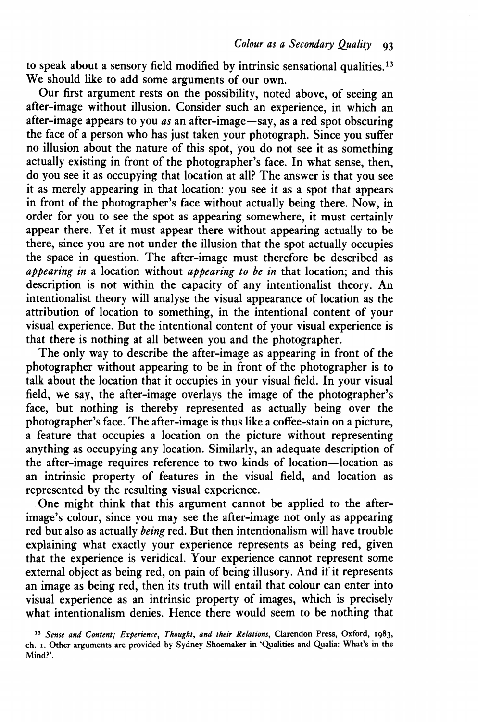to speak about a sensory field modified by intrinsic sensational qualities.<sup>13</sup> We should like to add some arguments of our own.

Our first argument rests on the possibility, noted above, of seeing an after-image without illusion. Consider such an experience, in which an after-image appears to you *as* an after-image—say, as a red spot obscuring the face of a person who has just taken your photograph. Since you suffer no illusion about the nature of this spot, you do not see it as something actually existing in front of the photographer's face. In what sense, then, do you see it as occupying that location at all? The answer is that you see it as merely appearing in that location: you see it as a spot that appears in front of the photographer's face without actually being there. Now, in order for you to see the spot as appearing somewhere, it must certainly appear there. Yet it must appear there without appearing actually to be there, since you are not under the illusion that the spot actually occupies the space in question. The after-image must therefore be described as *appearing in* a location without *appearing to be in* that location; and this description is not within the capacity of any intentionalist theory. An intentionalist theory will analyse the visual appearance of location as the attribution of location to something, in the intentional content of your visual experience. But the intentional content of your visual experience is that there is nothing at all between you and the photographer.

The only way to describe the after-image as appearing in front of the photographer without appearing to be in front of the photographer is to talk about the location that it occupies in your visual field. In your visual field, we say, the after-image overlays the image of the photographer's face, but nothing is thereby represented as actually being over the photographer's face. The after-image is thus like a coffee-stain on a picture, a feature that occupies a location on the picture without representing anything as occupying any location. Similarly, an adequate description of the after-image requires reference to two kinds of location—location as an intrinsic property of features in the visual field, and location as represented by the resulting visual experience.

One might think that this argument cannot be applied to the afterimage's colour, since you may see the after-image not only as appearing red but also as actually *being* red. But then intentionalism will have trouble explaining what exactly your experience represents as being red, given that the experience is veridical. Your experience cannot represent some external object as being red, on pain of being illusory. And if it represents an image as being red, then its truth will entail that colour can enter into visual experience as an intrinsic property of images, which is precisely what intentionalism denies. Hence there would seem to be nothing that

*<sup>13</sup> Sense and Content; Experience, Thought, and their Relations,* Clarendon Press, Oxford, 1983, ch. 1. Other arguments are provided by Sydney Shoemaker in 'Qualities and Qualia: What's in the Mind?'.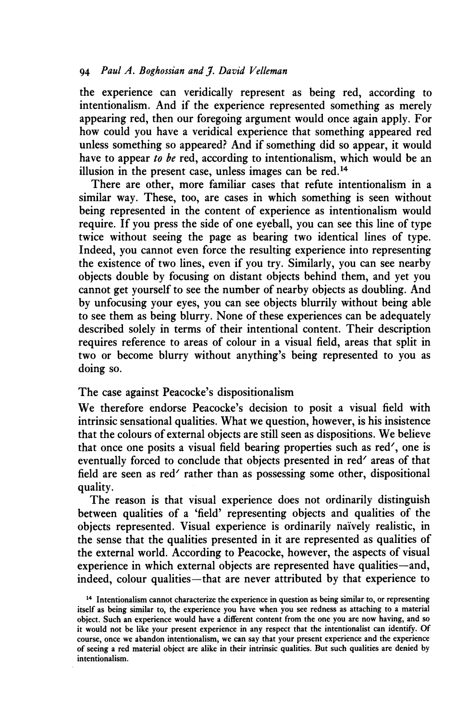the experience can veridically represent as being red, according to intentionalism. And if the experience represented something as merely appearing red, then our foregoing argument would once again apply. For how could you have a veridical experience that something appeared red unless something so appeared? And if something did so appear, it would have to appear *to be* red, according to intentionalism, which would be an illusion in the present case, unless images can be red.<sup>14</sup>

There are other, more familiar cases that refute intentionalism in a similar way. These, too, are cases in which something is seen without being represented in the content of experience as intentionalism would require. If you press the side of one eyeball, you can see this line of type twice without seeing the page as bearing two identical lines of type. Indeed, you cannot even force the resulting experience into representing the existence of two lines, even if you try. Similarly, you can see nearby objects double by focusing on distant objects behind them, and yet you cannot get yourself to see the number of nearby objects as doubling. And by unfocusing your eyes, you can see objects blurrily without being able to see them as being blurry. None of these experiences can be adequately described solely in terms of their intentional content. Their description requires reference to areas of colour in a visual field, areas that split in two or become blurry without anything's being represented to you as doing so.

#### The case against Peacocke's dispositionalism

We therefore endorse Peacocke's decision to posit a visual field with We therefore endorse Peacocke's decision intrinsic sensational qualities. What we question, however, is his insistence that the colours of external objects are still seen as dispositions. We believe that once one posits a visual field bearing properties such as red', one is eventually forced to conclude that objects presented in red' areas of that field are seen as red' rather than as possessing some other, dispositional quality. eventually forced to conclude that of

The reason is that visual experience does not ordinarily distinguish between qualities of a 'field' representing objects and qualities of the objects represented. Visual experience is ordinarily naïvely realistic, in objects represented. Visual experience is ordinarily halvely realistic, in the sense that the qualities presented in it are represented as qualities of the external world. According to Peacocke, however, the aspects of visual experience in which external objects are represented have qualities—and, indeed, colour qualities—that are never attributed by that experience to the sen

<sup>14</sup> Intentionalism cannot characterize the experience in question as being similar to, or representing itself as being similar to, the experience you have when you see redness as attaching to a material object. Such an experience would have a different content from the one you are now having, and so it would not be like your present experience in any respect that the intentionalist can identify. Of course, once we abandon intentionalism, we can say that your present experience and the experience of seeing a red material object are alike in their intrinsic qualities. But such qualities are denied by intentionalism.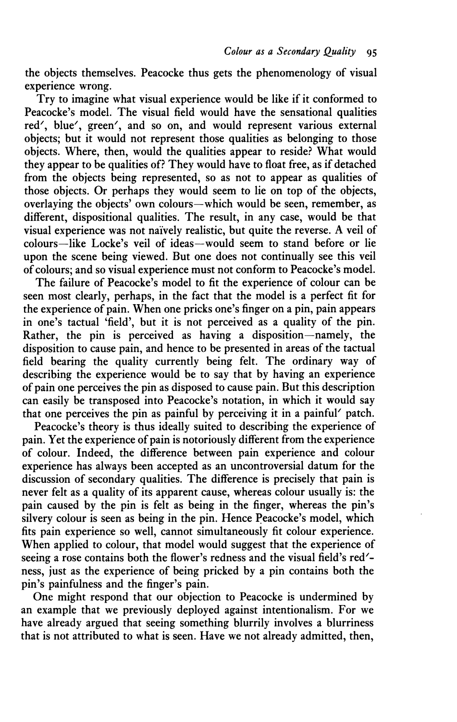the objects themselves. Peacocke thus gets the phenomenology of visual experience wrong.

Try to imagine what visual experience would be like if it conformed to Peacocke's model. The visual field would have the sensational qualities red', blue', green', and so on, and would represent various external objects; but it would not represent those qualities as belonging to those objects. Where, then, would the qualities appear to reside? What would they appear to be qualities of? They would have to float free, as if detached from the objects being represented, so as not to appear as qualities of those objects. Or perhaps they would seem to lie on top of the objects, overlaying the objects' own colours—which would be seen, remember, as different, dispositional qualities. The result, in any case, would be that visual experience was not naively realistic, but quite the reverse. A veil of colours—like Locke's veil of ideas—would seem to stand before or lie upon the scene being viewed. But one does not continually see this veil of colours; and so visual experience must not conform to Peacocke's model.

The failure of Peacocke's model to fit the experience of colour can be seen most clearly, perhaps, in the fact that the model is a perfect fit for the experience of pain. When one pricks one's finger on a pin, pain appears in one's tactual 'field', but it is not perceived as a quality of the pin. Rather, the pin is perceived as having a disposition—namely, the Rather, the pin is perceived as having a disposition—namely, the disposition to cause pain, and hence to be presented in areas of the tactual field bearing the quality currently being felt. The ordinary way of describing the experience would be to say that by having an experience of pain one perceives the pin as disposed to cause pain. But this description can easily be transposed into Peacocke's notation, in which it would say that one perceives the pin as painful by perceiving it in a painful' patch. disposition to cause pain, and I that one perceives the pin as p

Peacocke's theory is thus ideally suited to describing the experience of pain. Yet the experience of pain is notoriously different from the experience of colour. Indeed, the difference between pain experience and colour experience has always been accepted as an uncontroversial datum for the experience has always been accepted as an uncontroversial datum for the discussion of secondary qualities. The difference is precisely that pain is never felt as a quality of its apparent cause, whereas colour usually is: the pain caused by the pin is felt as being in the finger, whereas the pin's silvery colour is seen as being in the pin. Hence Peacocke's model, which fits pain experience so well, cannot simultaneously fit colour experience. When applied to colour, that model would suggest that the experience of seeing a rose contains both the flower's redness and the visual field's red'ness, just as the experience of being pricked by a pin contains both the pin's painfulness and the finger's pain. discussion of secondary qualities. The

One might respond that our objection to Peacocke is undermined by an example that we previously deployed against intentionalism. For we have already argued that seeing something blurrily involves a blurriness that is not attributed to what is seen. Have we not already admitted, then,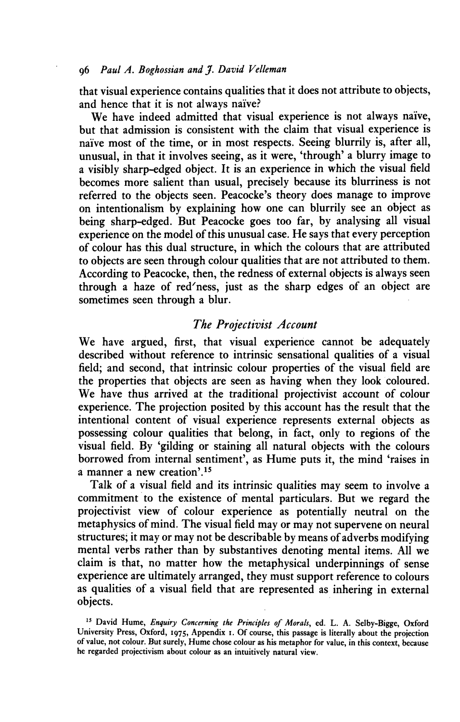that visual experience contains qualities that it does not attribute to objects, and hence that it is not always naive?

We have indeed admitted that visual experience is not always naive, but that admission is consistent with the claim that visual experience is naive most of the time, or in most respects. Seeing blurrily is, after all, unusual, in that it involves seeing, as it were, 'through' a blurry image to a visibly sharp-edged object. It is an experience in which the visual field becomes more salient than usual, precisely because its blurriness is not referred to the objects seen. Peacocke's theory does manage to improve on intentionalism by explaining how one can blurrily see an object as being sharp-edged. But Peacocke goes too far, by analysing all visual experience on the model of this unusual case. He says that every perception of colour has this dual structure, in which the colours that are attributed to objects are seen through colour qualities that are not attributed to them. According to Peacocke, then, the redness of external objects is always seen through a haze of red'ness, just as the sharp edges of an object are sometimes seen through a blur.

# *The Projectivist Account*

We have argued, first, that visual experience cannot be adequately described without reference to intrinsic sensational qualities of a visual field; and second, that intrinsic colour properties of the visual field are the properties that objects are seen as having when they look coloured. We have thus arrived at the traditional projectivist account of colour experience. The projection posited by this account has the result that the intentional content of visual experience represents external objects as possessing colour qualities that belong, in fact, only to regions of the visual field. By 'gilding or staining all natural objects with the colours borrowed from internal sentiment', as Hume puts it, the mind 'raises in a manner a new creation'.<sup>15</sup>

Talk of a visual field and its intrinsic qualities may seem to involve a commitment to the existence of mental particulars. But we regard the projectivist view of colour experience as potentially neutral on the metaphysics of mind. The visual field may or may not supervene on neural structures; it may or may not be describable by means of adverbs modifying mental verbs rather than by substantives denoting mental items. All we claim is that, no matter how the metaphysical underpinnings of sense experience are ultimately arranged, they must support reference to colours as qualities of a visual field that are represented as inhering in external objects.

<sup>15</sup> David Hume, *Enquiry Concerning the Principles of Morals,* ed. L. A. Selby-Bigge, Oxford University Press, Oxford, 1975, Appendix 1. Of course, this passage is literally about the projection of value, not colour. But surely, Hume chose colour as his metaphor for value, in this context, because he regarded projectivism about colour as an intuitively natural view.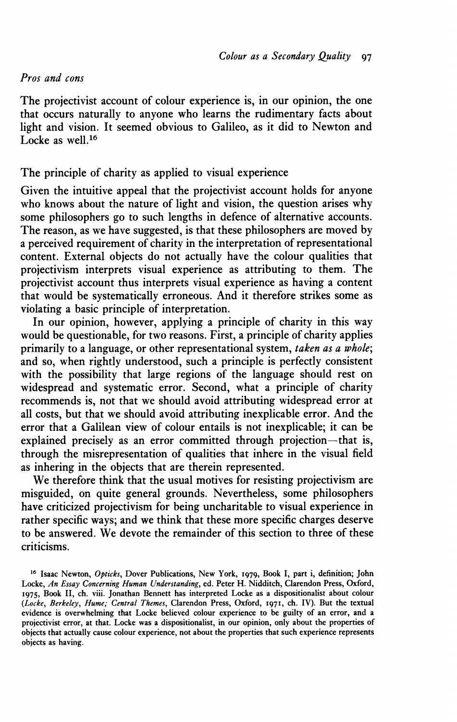# *Pros and cons*

The projectivist account of colour experience is, in our opinion, the one that occurs naturally to anyone who learns the rudimentary facts about light and vision. It seemed obvious to Galileo, as it did to Newton and Locke as well.<sup>16</sup>

#### The principle of charity as applied to visual experience

Given the intuitive appeal that the projectivist account holds for anyone who knows about the nature of light and vision, the question arises why some philosophers go to such lengths in defence of alternative accounts. The reason, as we have suggested, is that these philosophers are moved by a perceived requirement of charity in the interpretation of representational content. External objects do not actually have the colour qualities that projectivism interprets visual experience as attributing to them. The projectivist account thus interprets visual experience as having a content that would be systematically erroneous. And it therefore strikes some as violating a basic principle of interpretation.

In our opinion, however, applying a principle of charity in this way would be questionable, for two reasons. First, a principle of charity applies primarily to a language, or other representational system, *taken as a whole-,* and so, when rightly understood, such a principle is perfectly consistent with the possibility that large regions of the language should rest on widespread and systematic error. Second, what a principle of charity recommends is, not that we should avoid attributing widespread error at all costs, but that we should avoid attributing inexplicable error. And the error that a Galilean view of colour entails is not inexplicable; it can be explained precisely as an error committed through projection—that is, through the misrepresentation of qualities that inhere in the visual field as inhering in the objects that are therein represented.

We therefore think that the usual motives for resisting projectivism are misguided, on quite general grounds. Nevertheless, some philosophers have criticized projectivism for being uncharitable to visual experience in rather specific ways; and we think that these more specific charges deserve to be answered. We devote the remainder of this section to three of these criticisms.

<sup>16</sup> Isaac Newton, *Opticks,* Dover Publications, New York, 1979, Book I, part i, definition; John Locke, *An Essay Concerning Human Understanding,* ed. Peter H. Nidditch, Clarendon Press, Oxford, 1975, Book II, ch. viii. Jonathan Bennett has interpreted Locke as a dispositionalist about colour *(Locke, Berkeley, Hume; Central Themes,* Clarendon Press, Oxford, 1971, ch. IV). But the textual evidence is overwhelming that Locke believed colour experience to be guilty of an error, and a projectivist error, at that. Locke was a dispositionalist, in our opinion, only about the properties of objects that actually cause colour experience, not about the properties that such experience represents objects as having.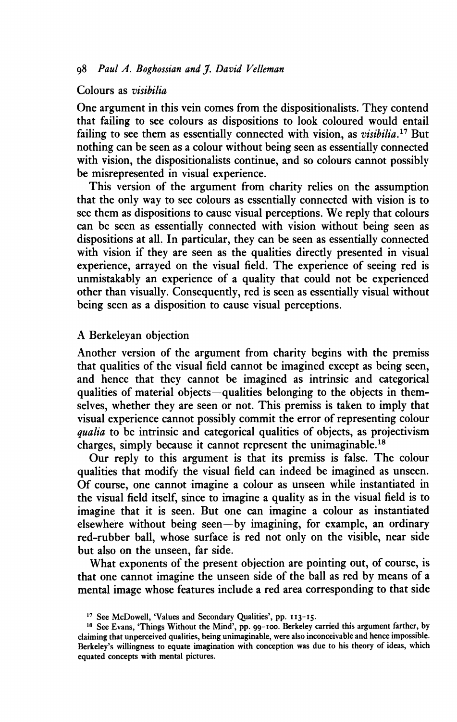#### Colours as *visibilia*

One argument in this vein comes from the dispositionalists. They contend that failing to see colours as dispositions to look coloured would entail failing to see them as essentially connected with vision, as *visibilia.*<sup>17</sup> But nothing can be seen as a colour without being seen as essentially connected with vision, the dispositionalists continue, and so colours cannot possibly be misrepresented in visual experience.

This version of the argument from charity relies on the assumption that the only way to see colours as essentially connected with vision is to see them as dispositions to cause visual perceptions. We reply that colours can be seen as essentially connected with vision without being seen as dispositions at all. In particular, they can be seen as essentially connected with vision if they are seen as the qualities directly presented in visual experience, arrayed on the visual field. The experience of seeing red is unmistakably an experience of a quality that could not be experienced other than visually. Consequently, red is seen as essentially visual without being seen as a disposition to cause visual perceptions.

#### A Berkeleyan objection

Another version of the argument from charity begins with the premiss that qualities of the visual field cannot be imagined except as being seen, and hence that they cannot be imagined as intrinsic and categorical qualities of material objects—qualities belonging to the objects in themselves, whether they are seen or not. This premiss is taken to imply that visual experience cannot possibly commit the error of representing colour *qualia* to be intrinsic and categorical qualities of objects, as projectivism charges, simply because it cannot represent the unimaginable.<sup>18</sup>

Our reply to this argument is that its premiss is false. The colour qualities that modify the visual field can indeed be imagined as unseen. Of course, one cannot imagine a colour as unseen while instantiated in the visual field itself, since to imagine a quality as in the visual field is to imagine that it is seen. But one can imagine a colour as instantiated elsewhere without being seen—by imagining, for example, an ordinary red-rubber ball, whose surface is red not only on the visible, near side but also on the unseen, far side.

What exponents of the present objection are pointing out, of course, is that one cannot imagine the unseen side of the ball as red by means of a mental image whose features include a red area corresponding to that side

<sup>17</sup> See McDowell, 'Values and Secondary Qualities', pp. 113-15.

<sup>18</sup> See Evans, 'Things Without the Mind', pp. 99-100. Berkeley carried this argument farther, by claiming that unperceived qualities, being unimaginable, were also inconceivable and hence impossible. Berkeley's willingness to equate imagination with conception was due to his theory of ideas, which equated concepts with mental pictures.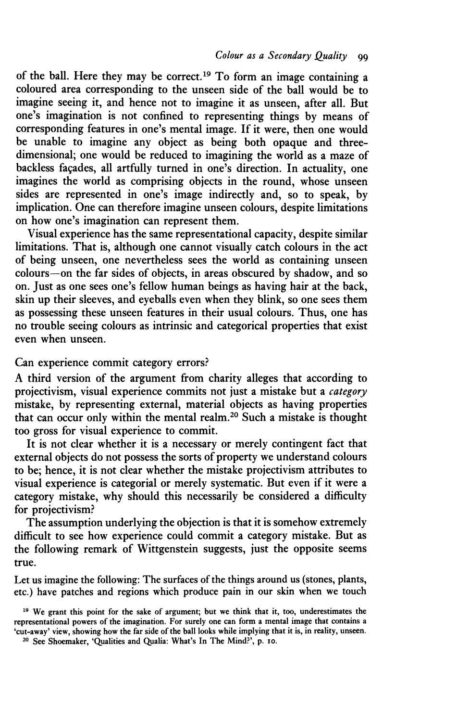of the ball. Here they may be correct.<sup>19</sup> To form an image containing a coloured area corresponding to the unseen side of the ball would be to imagine seeing it, and hence not to imagine it as unseen, after all. But one's imagination is not confined to representing things by means of corresponding features in one's mental image. If it were, then one would be unable to imagine any object as being both opaque and threedimensional; one would be reduced to imagining the world as a maze of backless façades, all artfully turned in one's direction. In actuality, one imagines the world as comprising objects in the round, whose unseen sides are represented in one's image indirectly and, so to speak, by implication. One can therefore imagine unseen colours, despite limitations on how one's imagination can represent them.

Visual experience has the same representational capacity, despite similar limitations. That is, although one cannot visually catch colours in the act of being unseen, one nevertheless sees the world as containing unseen colours—on the far sides of objects, in areas obscured by shadow, and so on. Just as one sees one's fellow human beings as having hair at the back, skin up their sleeves, and eveballs even when they blink, so one sees them as possessing these unseen features in their usual colours. Thus, one has no trouble seeing colours as intrinsic and categorical properties that exist even when unseen.

Can experience commit category errors?

A third version of the argument from charity alleges that according to projectivism, visual experience commits not just a mistake but a *category* mistake, by representing external, material objects as having properties that can occur only within the mental realm.<sup>20</sup> Such a mistake is thought too gross for visual experience to commit.

It is not clear whether it is a necessary or merely contingent fact that external objects do not possess the sorts of property we understand colours to be; hence, it is not clear whether the mistake projectivism attributes to visual experience is categorial or merely systematic. But even if it were a category mistake, why should this necessarily be considered a difficulty for projectivism?

The assumption underlying the objection is that it is somehow extremely difficult to see how experience could commit a category mistake. But as the following remark of Wittgenstein suggests, just the opposite seems true.

Let us imagine the following: The surfaces of the things around us (stones, plants, etc.) have patches and regions which produce pain in our skin when we touch

<sup>&</sup>lt;sup>19</sup> We grant this point for the sake of argument; but we think that it, too, underestimates the representational powers of the imagination. For surely one can form a mental image that contains a 'cut-away' view, showing how the far side of the ball looks while implying that it is, in reality, unseen. <sup>20</sup> See Shoemaker, 'Qualities and Qualia: What's In The Mind?', p. 10.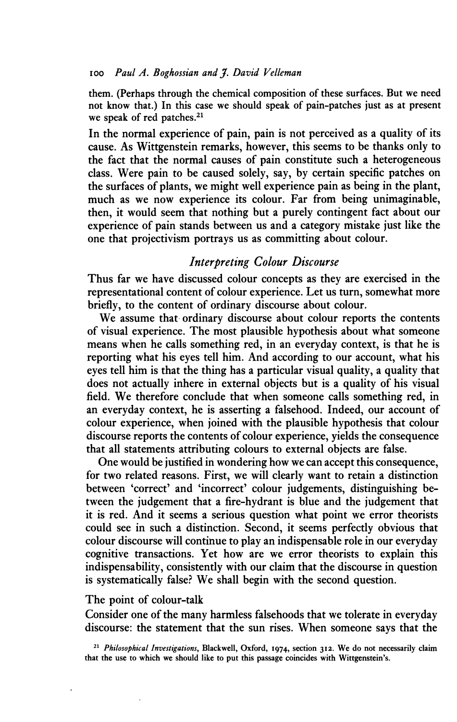them. (Perhaps through the chemical composition of these surfaces. But we need not know that.) In this case we should speak of pain-patches just as at present we speak of red patches.<sup>21</sup>

In the normal experience of pain, pain is not perceived as a quality of its cause. As Wittgenstein remarks, however, this seems to be thanks only to the fact that the normal causes of pain constitute such a heterogeneous class. Were pain to be caused solely, say, by certain specific patches on the surfaces of plants, we might well experience pain as being in the plant, much as we now experience its colour. Far from being unimaginable, then, it would seem that nothing but a purely contingent fact about our experience of pain stands between us and a category mistake just like the one that projectivism portrays us as committing about colour.

# *Interpreting Colour Discourse*

Thus far we have discussed colour concepts as they are exercised in the representational content of colour experience. Let us turn, somewhat more briefly, to the content of ordinary discourse about colour.

We assume that ordinary discourse about colour reports the contents of visual experience. The most plausible hypothesis about what someone means when he calls something red, in an everyday context, is that he is reporting what his eyes tell him. And according to our account, what his eyes tell him is that the thing has a particular visual quality, a quality that does not actually inhere in external objects but is a quality of his visual field. We therefore conclude that when someone calls something red, in an everyday context, he is asserting a falsehood. Indeed, our account of colour experience, when joined with the plausible hypothesis that colour discourse reports the contents of colour experience, yields the consequence that all statements attributing colours to external objects are false.

One would be justified in wondering how we can accept this consequence, for two related reasons. First, we will clearly want to retain a distinction between 'correct' and 'incorrect' colour judgements, distinguishing between the judgement that a fire-hydrant is blue and the judgement that it is red. And it seems a serious question what point we error theorists could see in such a distinction. Second, it seems perfectly obvious that colour discourse will continue to play an indispensable role in our everyday cognitive transactions. Yet how are we error theorists to explain this indispensability, consistently with our claim that the discourse in question is systematically false? We shall begin with the second question.

#### The point of colour-talk

Consider one of the many harmless falsehoods that we tolerate in everyday discourse: the statement that the sun rises. When someone says that the

*<sup>21</sup> Philosophical Investigations,* Blackwell, Oxford, 1974, section 312. We do not necessarily claim that the use to which we should like to put this passage coincides with Wittgenstein's.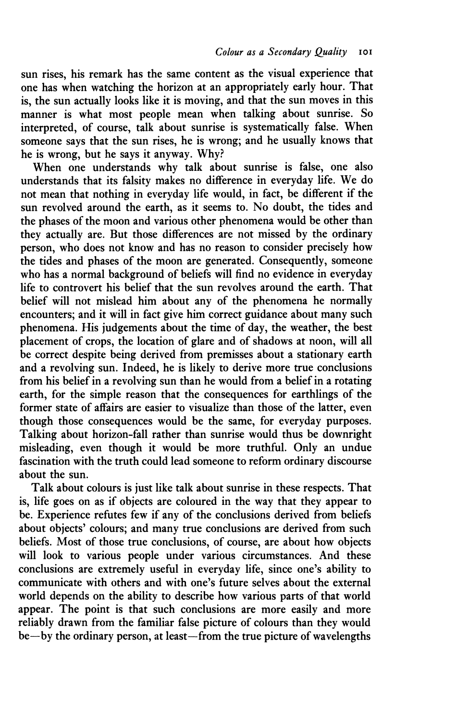sun rises, his remark has the same content as the visual experience that one has when watching the horizon at an appropriately early hour. That is, the sun actually looks like it is moving, and that the sun moves in this manner is what most people mean when talking about sunrise. So interpreted, of course, talk about sunrise is systematically false. When someone says that the sun rises, he is wrong; and he usually knows that he is wrong, but he says it anyway. Why?

When one understands why talk about sunrise is false, one also understands that its falsity makes no difference in everyday life. We do not mean that nothing in everyday life would, in fact, be different if the sun revolved around the earth, as it seems to. No doubt, the tides and the phases of the moon and various other phenomena would be other than they actually are. But those differences are not missed by the ordinary person, who does not know and has no reason to consider precisely how the tides and phases of the moon are generated. Consequently, someone who has a normal background of beliefs will find no evidence in everyday life to controvert his belief that the sun revolves around the earth. That belief will not mislead him about any of the phenomena he normally encounters; and it will in fact give him correct guidance about many such phenomena. His judgements about the time of day, the weather, the best placement of crops, the location of glare and of shadows at noon, will all be correct despite being derived from premisses about a stationary earth and a revolving sun. Indeed, he is likely to derive more true conclusions from his belief in a revolving sun than he would from a belief in a rotating earth, for the simple reason that the consequences for earthlings of the former state of affairs are easier to visualize than those of the latter, even though those consequences would be the same, for everyday purposes. Talking about horizon-fall rather than sunrise would thus be downright misleading, even though it would be more truthful. Only an undue fascination with the truth could lead someone to reform ordinary discourse about the sun.

Talk about colours is just like talk about sunrise in these respects. That is, life goes on as if objects are coloured in the way that they appear to be. Experience refutes few if any of the conclusions derived from beliefs about objects' colours; and many true conclusions are derived from such beliefs. Most of those true conclusions, of course, are about how objects will look to various people under various circumstances. And these conclusions are extremely useful in everyday life, since one's ability to communicate with others and with one's future selves about the external world depends on the ability to describe how various parts of that world appear. The point is that such conclusions are more easily and more reliably drawn from the familiar false picture of colours than they would be—by the ordinary person, at least—from the true picture of wavelengths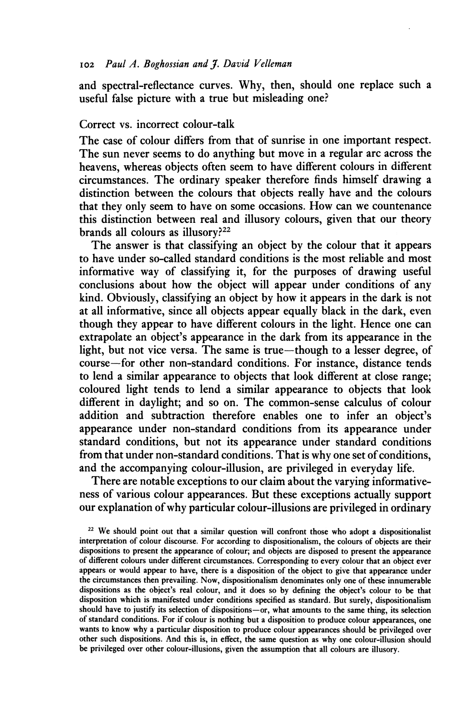and spectral-reflectance curves. Why, then, should one replace such a useful false picture with a true but misleading one?

#### Correct vs. incorrect colour-talk

The case of colour differs from that of sunrise in one important respect. The sun never seems to do anything but move in a regular arc across the heavens, whereas objects often seem to have different colours in different circumstances. The ordinary speaker therefore finds himself drawing a distinction between the colours that objects really have and the colours that they only seem to have on some occasions. How can we countenance this distinction between real and illusory colours, given that our theory brands all colours as illusory?<sup>22</sup>

The answer is that classifying an object by the colour that it appears to have under so-called standard conditions is the most reliable and most informative way of classifying it, for the purposes of drawing useful conclusions about how the object will appear under conditions of any kind. Obviously, classifying an object by how it appears in the dark is not at all informative, since all objects appear equally black in the dark, even though they appear to have different colours in the light. Hence one can extrapolate an object's appearance in the dark from its appearance in the light, but not vice versa. The same is true—though to a lesser degree, of course—for other non-standard conditions. For instance, distance tends to lend a similar appearance to objects that look different at close range: coloured light tends to lend a similar appearance to objects that look different in daylight; and so on. The common-sense calculus of colour addition and subtraction therefore enables one to infer an object's appearance under non-standard conditions from its appearance under standard conditions, but not its appearance under standard conditions from that under non-standard conditions. That is why one set of conditions, and the accompanying colour-illusion, are privileged in everyday life.

There are notable exceptions to our claim about the varying informativeness of various colour appearances. But these exceptions actually support our explanation ofwhy particular colour-illusions are privileged in ordinary

 $22$  We should point out that a similar question will confront those who adopt a dispositionalist interpretation of colour discourse. For according to dispositionalism, the colours of objects are their dispositions to present the appearance of colour; and objects are disposed to present the appearance of different colours under different circumstances. Corresponding to every colour that an object ever appears or would appear to have, there is a disposition of the object to give that appearance under the circumstances then prevailing. Now, dispositionalism denominates only one of these innumerable dispositions as the object's real colour, and it does so by defining the object's colour to be that disposition which is manifested under conditions specified as standard. But surely, dispositionalism should have to justify its selection of dispositions—or, what amounts to the same thing, its selection of standard conditions. For if colour is nothing but a disposition to produce colour appearances, one wants to know why a particular disposition to produce colour appearances should be privileged over other such dispositions. And this is, in effect, the same question as why one colour-illusion should be privileged over other colour-illusions, given the assumption that all colours are illusory.